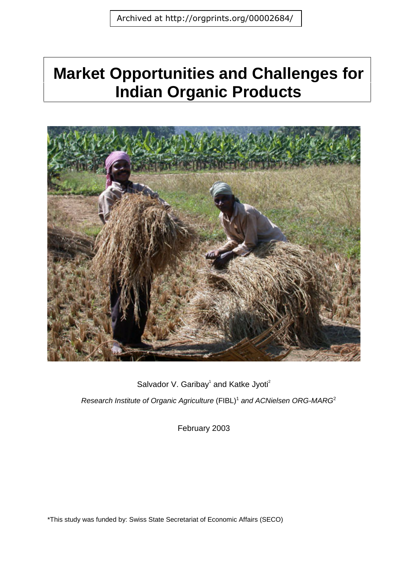# **Market Opportunities and Challenges for Indian Organic Products**



Salvador V. Garibay<sup>1</sup> and Katke Jyoti<sup>2</sup>

*Research Institute of Organic Agriculture* (FIBL)<sup>1</sup> and ACNielsen ORG-MARG<sup>2</sup>

February 2003

\*This study was funded by: Swiss State Secretariat of Economic Affairs (SECO)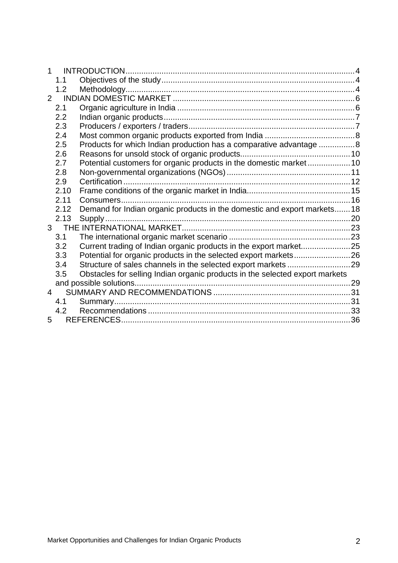| $\mathbf{1}$   |                |                                                                              |  |
|----------------|----------------|------------------------------------------------------------------------------|--|
|                | 1.1            |                                                                              |  |
|                | 1.2            |                                                                              |  |
| $\overline{2}$ |                |                                                                              |  |
|                | 2.1            |                                                                              |  |
|                | 2.2            |                                                                              |  |
|                | 2.3            |                                                                              |  |
|                | 2.4            |                                                                              |  |
|                | 2.5            | Products for which Indian production has a comparative advantage 8           |  |
|                | 2.6            |                                                                              |  |
|                | 2.7            | Potential customers for organic products in the domestic market 10           |  |
|                | 2.8            |                                                                              |  |
|                | 2.9            |                                                                              |  |
|                | 2.10           |                                                                              |  |
|                | 2.11           |                                                                              |  |
|                | 2.12           | Demand for Indian organic products in the domestic and export markets 18     |  |
|                | 2.13           |                                                                              |  |
|                |                |                                                                              |  |
|                | 3.1            |                                                                              |  |
|                | 3.2            | Current trading of Indian organic products in the export market25            |  |
|                | 3.3            | Potential for organic products in the selected export markets26              |  |
|                | 3.4            | Structure of sales channels in the selected export markets 29                |  |
|                | 3.5            | Obstacles for selling Indian organic products in the selected export markets |  |
|                |                |                                                                              |  |
|                | $\overline{4}$ |                                                                              |  |
|                | 4.1            |                                                                              |  |
|                | 4.2            |                                                                              |  |
| 5.             |                |                                                                              |  |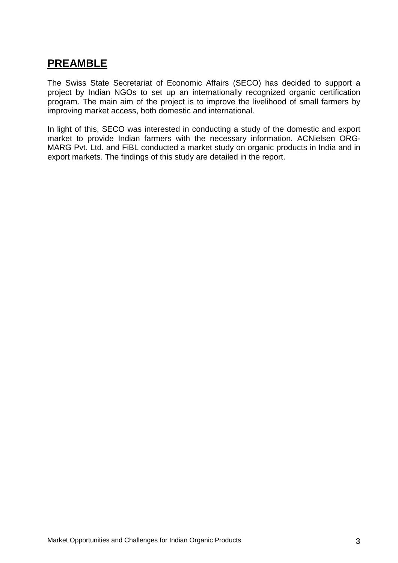# **PREAMBLE**

The Swiss State Secretariat of Economic Affairs (SECO) has decided to support a project by Indian NGOs to set up an internationally recognized organic certification program. The main aim of the project is to improve the livelihood of small farmers by improving market access, both domestic and international.

In light of this, SECO was interested in conducting a study of the domestic and export market to provide Indian farmers with the necessary information. ACNielsen ORG-MARG Pvt. Ltd. and FiBL conducted a market study on organic products in India and in export markets. The findings of this study are detailed in the report.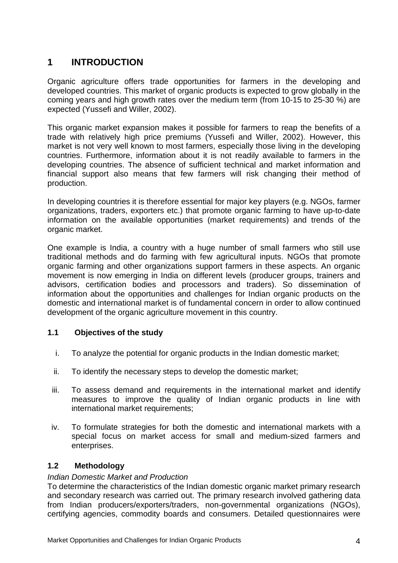# **1 INTRODUCTION**

Organic agriculture offers trade opportunities for farmers in the developing and developed countries. This market of organic products is expected to grow globally in the coming years and high growth rates over the medium term (from 10-15 to 25-30 %) are expected (Yussefi and Willer, 2002).

This organic market expansion makes it possible for farmers to reap the benefits of a trade with relatively high price premiums (Yussefi and Willer, 2002). However, this market is not very well known to most farmers, especially those living in the developing countries. Furthermore, information about it is not readily available to farmers in the developing countries. The absence of sufficient technical and market information and financial support also means that few farmers will risk changing their method of production.

In developing countries it is therefore essential for major key players (e.g. NGOs, farmer organizations, traders, exporters etc.) that promote organic farming to have up-to-date information on the available opportunities (market requirements) and trends of the organic market.

One example is India, a country with a huge number of small farmers who still use traditional methods and do farming with few agricultural inputs. NGOs that promote organic farming and other organizations support farmers in these aspects. An organic movement is now emerging in India on different levels (producer groups, trainers and advisors, certification bodies and processors and traders). So dissemination of information about the opportunities and challenges for Indian organic products on the domestic and international market is of fundamental concern in order to allow continued development of the organic agriculture movement in this country.

#### **1.1 Objectives of the study**

- i. To analyze the potential for organic products in the Indian domestic market;
- ii. To identify the necessary steps to develop the domestic market;
- iii. To assess demand and requirements in the international market and identify measures to improve the quality of Indian organic products in line with international market requirements;
- iv. To formulate strategies for both the domestic and international markets with a special focus on market access for small and medium-sized farmers and enterprises.

#### **1.2 Methodology**

#### *Indian Domestic Market and Production*

To determine the characteristics of the Indian domestic organic market primary research and secondary research was carried out. The primary research involved gathering data from Indian producers/exporters/traders, non-governmental organizations (NGOs), certifying agencies, commodity boards and consumers. Detailed questionnaires were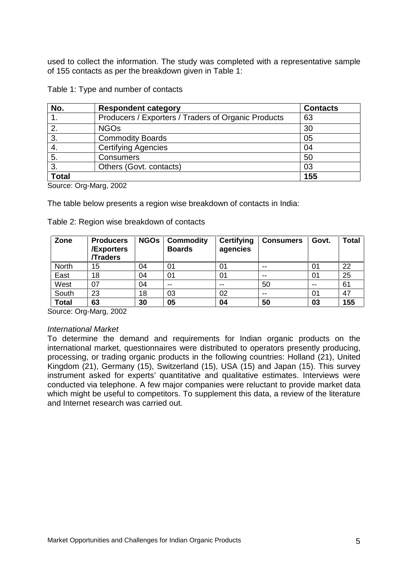used to collect the information. The study was completed with a representative sample of 155 contacts as per the breakdown given in Table 1:

| No.          | <b>Respondent category</b>                          | <b>Contacts</b> |
|--------------|-----------------------------------------------------|-----------------|
|              | Producers / Exporters / Traders of Organic Products | 63              |
| 2.           | <b>NGOs</b>                                         | 30              |
| 3.           | <b>Commodity Boards</b>                             | 05              |
| 4.           | <b>Certifying Agencies</b>                          | 04              |
| 5.           | <b>Consumers</b>                                    | 50              |
| 3.           | Others (Govt. contacts)                             | 03              |
| <b>Total</b> |                                                     | 155             |

Table 1: Type and number of contacts

Source: Org-Marg, 2002

The table below presents a region wise breakdown of contacts in India:

| Zone         | <b>Producers</b><br><b>/Exporters</b><br><b>/Traders</b> | <b>NGOs</b> | <b>Commodity</b><br><b>Boards</b> | <b>Certifying</b><br>agencies | <b>Consumers</b> | Govt. | <b>Total</b> |
|--------------|----------------------------------------------------------|-------------|-----------------------------------|-------------------------------|------------------|-------|--------------|
| North        | 15                                                       | 04          | 01                                | 01                            | $-$              | 01    | 22           |
| East         | 18                                                       | 04          | 01                                | 01                            | $- -$            | 01    | 25           |
| West         | 07                                                       | 04          | $-$                               | --                            | 50               |       | 61           |
| South        | 23                                                       | 18          | 03                                | 02                            | $-$              | 01    | 47           |
| <b>Total</b> | 63                                                       | 30          | 05                                | 04                            | 50               | 03    | 155          |

Source: Org-Marg, 2002

#### *International Market*

To determine the demand and requirements for Indian organic products on the international market, questionnaires were distributed to operators presently producing, processing, or trading organic products in the following countries: Holland (21), United Kingdom (21), Germany (15), Switzerland (15), USA (15) and Japan (15). This survey instrument asked for experts' quantitative and qualitative estimates. Interviews were conducted via telephone. A few major companies were reluctant to provide market data which might be useful to competitors. To supplement this data, a review of the literature and Internet research was carried out.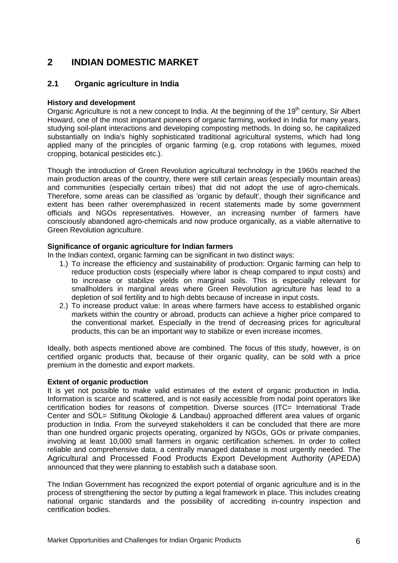## **2 INDIAN DOMESTIC MARKET**

#### **2.1 Organic agriculture in India**

#### **History and development**

Organic Agriculture is not a new concept to India. At the beginning of the 19<sup>th</sup> century, Sir Albert Howard, one of the most important pioneers of organic farming, worked in India for many years, studying soil-plant interactions and developing composting methods. In doing so, he capitalized substantially on India's highly sophisticated traditional agricultural systems, which had long applied many of the principles of organic farming (e.g. crop rotations with legumes, mixed cropping, botanical pesticides etc.).

Though the introduction of Green Revolution agricultural technology in the 1960s reached the main production areas of the country, there were still certain areas (especially mountain areas) and communities (especially certain tribes) that did not adopt the use of agro-chemicals. Therefore, some areas can be classified as 'organic by default', though their significance and extent has been rather overemphasized in recent statements made by some government officials and NGOs representatives. However, an increasing number of farmers have consciously abandoned agro-chemicals and now produce organically, as a viable alternative to Green Revolution agriculture.

#### **Significance of organic agriculture for Indian farmers**

In the Indian context, organic farming can be significant in two distinct ways:

- 1.) To increase the efficiency and sustainability of production: Organic farming can help to reduce production costs (especially where labor is cheap compared to input costs) and to increase or stabilize yields on marginal soils. This is especially relevant for smallholders in marginal areas where Green Revolution agriculture has lead to a depletion of soil fertility and to high debts because of increase in input costs.
- 2.) To increase product value: In areas where farmers have access to established organic markets within the country or abroad, products can achieve a higher price compared to the conventional market. Especially in the trend of decreasing prices for agricultural products, this can be an important way to stabilize or even increase incomes.

Ideally, both aspects mentioned above are combined. The focus of this study, however, is on certified organic products that, because of their organic quality, can be sold with a price premium in the domestic and export markets.

#### **Extent of organic production**

It is yet not possible to make valid estimates of the extent of organic production in India. Information is scarce and scattered, and is not easily accessible from nodal point operators like certification bodies for reasons of competition. Diverse sources (ITC= International Trade Center and SÖL= Stifitung Ökologie & Landbau) approached different area values of organic production in India. From the surveyed stakeholders it can be concluded that there are more than one hundred organic projects operating, organized by NGOs, GOs or private companies, involving at least 10,000 small farmers in organic certification schemes. In order to collect reliable and comprehensive data, a centrally managed database is most urgently needed. The Agricultural and Processed Food Products Export Development Authority (APEDA) announced that they were planning to establish such a database soon.

The Indian Government has recognized the export potential of organic agriculture and is in the process of strengthening the sector by putting a legal framework in place. This includes creating national organic standards and the possibility of accrediting in-country inspection and certification bodies.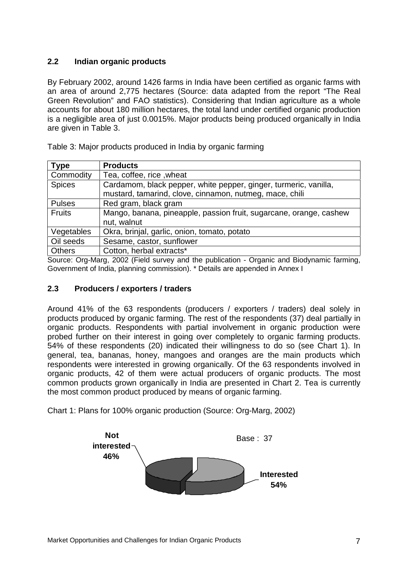### **2.2 Indian organic products**

By February 2002, around 1426 farms in India have been certified as organic farms with an area of around 2,775 hectares (Source: data adapted from the report "The Real Green Revolution" and FAO statistics). Considering that Indian agriculture as a whole accounts for about 180 million hectares, the total land under certified organic production is a negligible area of just 0.0015%. Major products being produced organically in India are given in Table 3.

| <b>Type</b>   | <b>Products</b>                                                                   |  |  |
|---------------|-----------------------------------------------------------------------------------|--|--|
| Commodity     | Tea, coffee, rice, wheat                                                          |  |  |
| <b>Spices</b> | Cardamom, black pepper, white pepper, ginger, turmeric, vanilla,                  |  |  |
|               | mustard, tamarind, clove, cinnamon, nutmeg, mace, chili                           |  |  |
| <b>Pulses</b> | Red gram, black gram                                                              |  |  |
| <b>Fruits</b> | Mango, banana, pineapple, passion fruit, sugarcane, orange, cashew<br>nut, walnut |  |  |
| Vegetables    | Okra, brinjal, garlic, onion, tomato, potato                                      |  |  |
| Oil seeds     | Sesame, castor, sunflower                                                         |  |  |
| <b>Others</b> | Cotton, herbal extracts*                                                          |  |  |
| . .           | $\sim$ $\sim$<br>$\sim$ $\sim$<br>$\mathbf{r}$                                    |  |  |

Table 3: Major products produced in India by organic farming

Source: Org-Marg, 2002 (Field survey and the publication - Organic and Biodynamic farming, Government of India, planning commission). \* Details are appended in Annex I

#### **2.3 Producers / exporters / traders**

Around 41% of the 63 respondents (producers / exporters / traders) deal solely in products produced by organic farming. The rest of the respondents (37) deal partially in organic products. Respondents with partial involvement in organic production were probed further on their interest in going over completely to organic farming products. 54% of these respondents (20) indicated their willingness to do so (see Chart 1). In general, tea, bananas, honey, mangoes and oranges are the main products which respondents were interested in growing organically. Of the 63 respondents involved in organic products, 42 of them were actual producers of organic products. The most common products grown organically in India are presented in Chart 2. Tea is currently the most common product produced by means of organic farming.

Chart 1: Plans for 100% organic production (Source: Org-Marg, 2002)

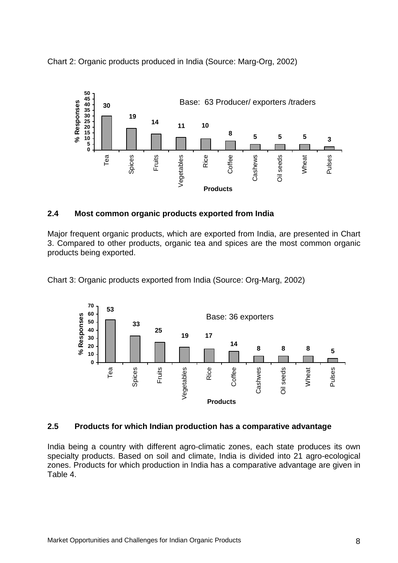Chart 2: Organic products produced in India (Source: Marg-Org, 2002)



#### **2.4 Most common organic products exported from India**

Major frequent organic products, which are exported from India, are presented in Chart 3. Compared to other products, organic tea and spices are the most common organic products being exported.

Chart 3: Organic products exported from India (Source: Org-Marg, 2002)



#### **2.5 Products for which Indian production has a comparative advantage**

India being a country with different agro-climatic zones, each state produces its own specialty products. Based on soil and climate, India is divided into 21 agro-ecological zones. Products for which production in India has a comparative advantage are given in Table 4.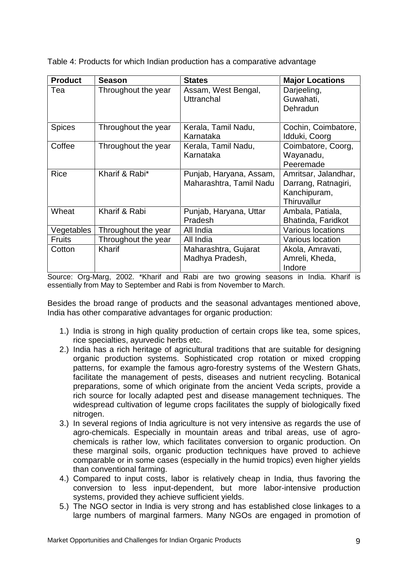Table 4: Products for which Indian production has a comparative advantage

| <b>Product</b> | <b>Season</b>       | <b>States</b>                                      | <b>Major Locations</b>                                                     |
|----------------|---------------------|----------------------------------------------------|----------------------------------------------------------------------------|
| Tea            | Throughout the year | Assam, West Bengal,<br>Uttranchal                  | Darjeeling,<br>Guwahati,<br>Dehradun                                       |
| <b>Spices</b>  | Throughout the year | Kerala, Tamil Nadu,<br>Karnataka                   | Cochin, Coimbatore,<br>Idduki, Coorg                                       |
| Coffee         | Throughout the year | Kerala, Tamil Nadu,<br>Karnataka                   | Coimbatore, Coorg,<br>Wayanadu,<br>Peeremade                               |
| <b>Rice</b>    | Kharif & Rabi*      | Punjab, Haryana, Assam,<br>Maharashtra, Tamil Nadu | Amritsar, Jalandhar,<br>Darrang, Ratnagiri,<br>Kanchipuram,<br>Thiruvallur |
| Wheat          | Kharif & Rabi       | Punjab, Haryana, Uttar<br>Pradesh                  | Ambala, Patiala,<br>Bhatinda, Faridkot                                     |
| Vegetables     | Throughout the year | All India                                          | Various locations                                                          |
| <b>Fruits</b>  | Throughout the year | All India                                          | Various location                                                           |
| Cotton         | Kharif              | Maharashtra, Gujarat<br>Madhya Pradesh,            | Akola, Amravati,<br>Amreli, Kheda,<br>Indore                               |

Source: Org-Marg, 2002. \*Kharif and Rabi are two growing seasons in India. Kharif is essentially from May to September and Rabi is from November to March.

Besides the broad range of products and the seasonal advantages mentioned above, India has other comparative advantages for organic production:

- 1.) India is strong in high quality production of certain crops like tea, some spices, rice specialties, ayurvedic herbs etc.
- 2.) India has a rich heritage of agricultural traditions that are suitable for designing organic production systems. Sophisticated crop rotation or mixed cropping patterns, for example the famous agro-forestry systems of the Western Ghats, facilitate the management of pests, diseases and nutrient recycling. Botanical preparations, some of which originate from the ancient Veda scripts, provide a rich source for locally adapted pest and disease management techniques. The widespread cultivation of legume crops facilitates the supply of biologically fixed nitrogen.
- 3.) In several regions of India agriculture is not very intensive as regards the use of agro-chemicals. Especially in mountain areas and tribal areas, use of agrochemicals is rather low, which facilitates conversion to organic production. On these marginal soils, organic production techniques have proved to achieve comparable or in some cases (especially in the humid tropics) even higher yields than conventional farming.
- 4.) Compared to input costs, labor is relatively cheap in India, thus favoring the conversion to less input-dependent, but more labor-intensive production systems, provided they achieve sufficient yields.
- 5.) The NGO sector in India is very strong and has established close linkages to a large numbers of marginal farmers. Many NGOs are engaged in promotion of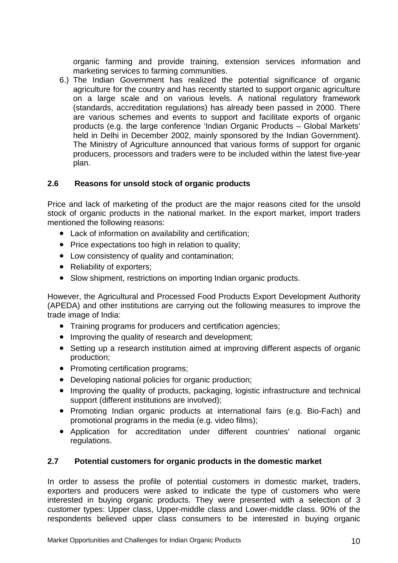organic farming and provide training, extension services information and marketing services to farming communities.

6.) The Indian Government has realized the potential significance of organic agriculture for the country and has recently started to support organic agriculture on a large scale and on various levels. A national regulatory framework (standards, accreditation regulations) has already been passed in 2000. There are various schemes and events to support and facilitate exports of organic products (e.g. the large conference 'Indian Organic Products – Global Markets' held in Delhi in December 2002, mainly sponsored by the Indian Government). The Ministry of Agriculture announced that various forms of support for organic producers, processors and traders were to be included within the latest five-year plan.

#### **2.6 Reasons for unsold stock of organic products**

Price and lack of marketing of the product are the major reasons cited for the unsold stock of organic products in the national market. In the export market, import traders mentioned the following reasons:

- Lack of information on availability and certification;
- Price expectations too high in relation to quality;
- Low consistency of quality and contamination;
- Reliability of exporters;
- Slow shipment, restrictions on importing Indian organic products.

However, the Agricultural and Processed Food Products Export Development Authority (APEDA) and other institutions are carrying out the following measures to improve the trade image of India:

- Training programs for producers and certification agencies;
- Improving the quality of research and development;
- Setting up a research institution aimed at improving different aspects of organic production;
- Promoting certification programs;
- Developing national policies for organic production;
- Improving the quality of products, packaging, logistic infrastructure and technical support (different institutions are involved);
- Promoting Indian organic products at international fairs (e.g. Bio-Fach) and promotional programs in the media (e.g. video films);
- Application for accreditation under different countries' national organic regulations.

#### **2.7 Potential customers for organic products in the domestic market**

In order to assess the profile of potential customers in domestic market, traders, exporters and producers were asked to indicate the type of customers who were interested in buying organic products. They were presented with a selection of 3 customer types: Upper class, Upper-middle class and Lower-middle class. 90% of the respondents believed upper class consumers to be interested in buying organic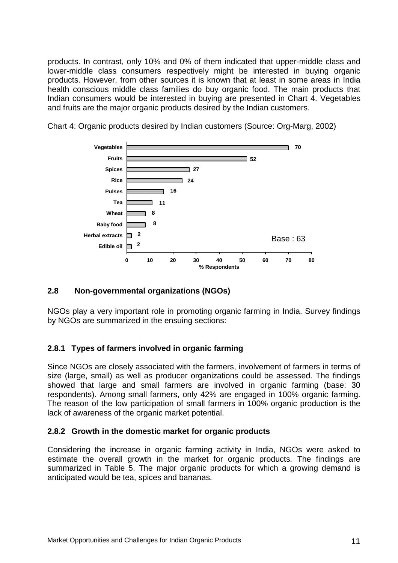products. In contrast, only 10% and 0% of them indicated that upper-middle class and lower-middle class consumers respectively might be interested in buying organic products. However, from other sources it is known that at least in some areas in India health conscious middle class families do buy organic food. The main products that Indian consumers would be interested in buying are presented in Chart 4. Vegetables and fruits are the major organic products desired by the Indian customers.



Chart 4: Organic products desired by Indian customers (Source: Org-Marg, 2002)

#### **2.8 Non-governmental organizations (NGOs)**

NGOs play a very important role in promoting organic farming in India. Survey findings by NGOs are summarized in the ensuing sections:

#### **2.8.1 Types of farmers involved in organic farming**

Since NGOs are closely associated with the farmers, involvement of farmers in terms of size (large, small) as well as producer organizations could be assessed. The findings showed that large and small farmers are involved in organic farming (base: 30 respondents). Among small farmers, only 42% are engaged in 100% organic farming. The reason of the low participation of small farmers in 100% organic production is the lack of awareness of the organic market potential.

#### **2.8.2 Growth in the domestic market for organic products**

Considering the increase in organic farming activity in India, NGOs were asked to estimate the overall growth in the market for organic products. The findings are summarized in Table 5. The major organic products for which a growing demand is anticipated would be tea, spices and bananas.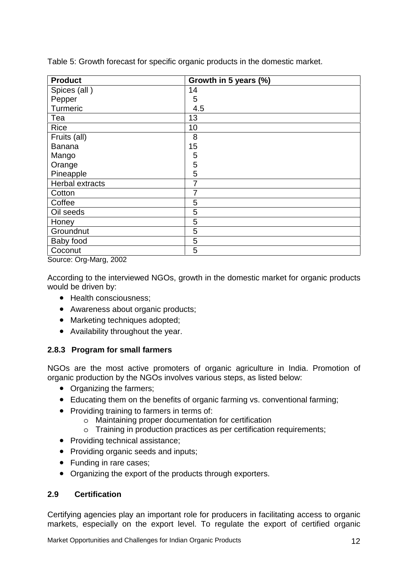| <b>Product</b>  | Growth in 5 years (%) |
|-----------------|-----------------------|
| Spices (all)    | 14                    |
| Pepper          | 5                     |
| Turmeric        | 4.5                   |
| Tea             | 13                    |
| <b>Rice</b>     | 10                    |
| Fruits (all)    | 8                     |
| <b>Banana</b>   | 15                    |
| Mango           | 5                     |
| Orange          | 5                     |
| Pineapple       | 5                     |
| Herbal extracts | 7                     |
| Cotton          | 7                     |
| Coffee          | 5                     |
| Oil seeds       | 5                     |
| Honey           | 5                     |
| Groundnut       | 5                     |
| Baby food       | 5                     |
| Coconut         | 5                     |

Table 5: Growth forecast for specific organic products in the domestic market.

Source: Org-Marg, 2002

According to the interviewed NGOs, growth in the domestic market for organic products would be driven by:

- Health consciousness:
- Awareness about organic products:
- Marketing techniques adopted;
- Availability throughout the year.

#### **2.8.3 Program for small farmers**

NGOs are the most active promoters of organic agriculture in India. Promotion of organic production by the NGOs involves various steps, as listed below:

- Organizing the farmers;
- Educating them on the benefits of organic farming vs. conventional farming;
- Providing training to farmers in terms of:
	- o Maintaining proper documentation for certification
	- o Training in production practices as per certification requirements;
- Providing technical assistance;
- Providing organic seeds and inputs:
- Funding in rare cases;
- Organizing the export of the products through exporters.

### **2.9 Certification**

Certifying agencies play an important role for producers in facilitating access to organic markets, especially on the export level. To regulate the export of certified organic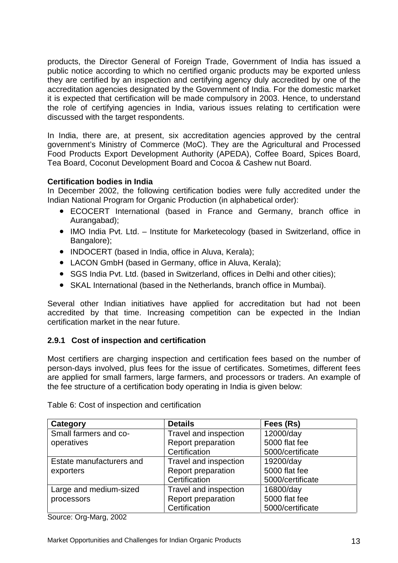products, the Director General of Foreign Trade, Government of India has issued a public notice according to which no certified organic products may be exported unless they are certified by an inspection and certifying agency duly accredited by one of the accreditation agencies designated by the Government of India. For the domestic market it is expected that certification will be made compulsory in 2003. Hence, to understand the role of certifying agencies in India, various issues relating to certification were discussed with the target respondents.

In India, there are, at present, six accreditation agencies approved by the central government's Ministry of Commerce (MoC). They are the Agricultural and Processed Food Products Export Development Authority (APEDA), Coffee Board, Spices Board, Tea Board, Coconut Development Board and Cocoa & Cashew nut Board.

#### **Certification bodies in India**

In December 2002, the following certification bodies were fully accredited under the Indian National Program for Organic Production (in alphabetical order):

- ECOCERT International (based in France and Germany, branch office in Aurangabad);
- IMO India Pvt. Ltd. Institute for Marketecology (based in Switzerland, office in Bangalore);
- INDOCERT (based in India, office in Aluva, Kerala);
- LACON GmbH (based in Germany, office in Aluva, Kerala);
- SGS India Pvt. Ltd. (based in Switzerland, offices in Delhi and other cities);
- SKAL International (based in the Netherlands, branch office in Mumbai).

Several other Indian initiatives have applied for accreditation but had not been accredited by that time. Increasing competition can be expected in the Indian certification market in the near future.

#### **2.9.1 Cost of inspection and certification**

Most certifiers are charging inspection and certification fees based on the number of person-days involved, plus fees for the issue of certificates. Sometimes, different fees are applied for small farmers, large farmers, and processors or traders. An example of the fee structure of a certification body operating in India is given below:

| Category                 | <b>Details</b>            | Fees (Rs)        |
|--------------------------|---------------------------|------------------|
| Small farmers and co-    | Travel and inspection     | 12000/day        |
| operatives               | <b>Report preparation</b> | 5000 flat fee    |
|                          | Certification             | 5000/certificate |
| Estate manufacturers and | Travel and inspection     | 19200/day        |
| exporters                | <b>Report preparation</b> | 5000 flat fee    |
|                          | Certification             | 5000/certificate |
| Large and medium-sized   | Travel and inspection     | 16800/day        |
| processors               | Report preparation        | 5000 flat fee    |
|                          | Certification             | 5000/certificate |

Table 6: Cost of inspection and certification

Source: Org-Marg, 2002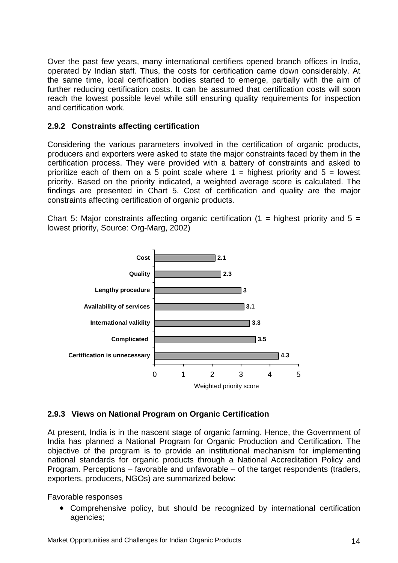Over the past few years, many international certifiers opened branch offices in India, operated by Indian staff. Thus, the costs for certification came down considerably. At the same time, local certification bodies started to emerge, partially with the aim of further reducing certification costs. It can be assumed that certification costs will soon reach the lowest possible level while still ensuring quality requirements for inspection and certification work.

#### **2.9.2 Constraints affecting certification**

Considering the various parameters involved in the certification of organic products, producers and exporters were asked to state the major constraints faced by them in the certification process. They were provided with a battery of constraints and asked to prioritize each of them on a 5 point scale where  $1 =$  highest priority and  $5 =$  lowest priority. Based on the priority indicated, a weighted average score is calculated. The findings are presented in Chart 5. Cost of certification and quality are the major constraints affecting certification of organic products.

Chart 5: Major constraints affecting organic certification (1 = highest priority and  $5 =$ lowest priority, Source: Org-Marg, 2002)



#### **2.9.3 Views on National Program on Organic Certification**

At present, India is in the nascent stage of organic farming. Hence, the Government of India has planned a National Program for Organic Production and Certification. The objective of the program is to provide an institutional mechanism for implementing national standards for organic products through a National Accreditation Policy and Program. Perceptions – favorable and unfavorable – of the target respondents (traders, exporters, producers, NGOs) are summarized below:

#### Favorable responses

• Comprehensive policy, but should be recognized by international certification agencies;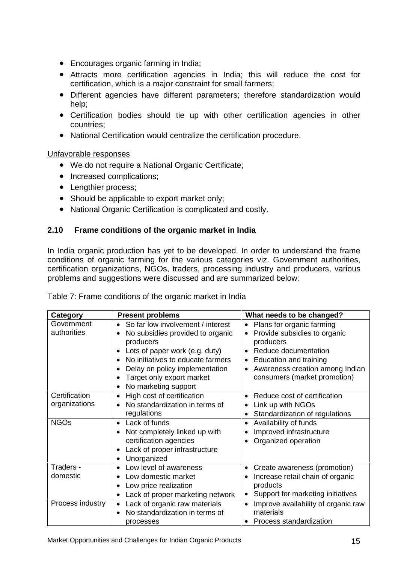- Encourages organic farming in India;
- Attracts more certification agencies in India; this will reduce the cost for certification, which is a major constraint for small farmers;
- Different agencies have different parameters; therefore standardization would help;
- Certification bodies should tie up with other certification agencies in other countries;
- National Certification would centralize the certification procedure.

Unfavorable responses

- We do not require a National Organic Certificate;
- Increased complications:
- Lengthier process:
- Should be applicable to export market only;
- National Organic Certification is complicated and costly.

### **2.10 Frame conditions of the organic market in India**

In India organic production has yet to be developed. In order to understand the frame conditions of organic farming for the various categories viz. Government authorities, certification organizations, NGOs, traders, processing industry and producers, various problems and suggestions were discussed and are summarized below:

| Category         | <b>Present problems</b>                        | What needs to be changed?                        |
|------------------|------------------------------------------------|--------------------------------------------------|
| Government       | So far low involvement / interest<br>$\bullet$ | Plans for organic farming<br>$\bullet$           |
| authorities      | No subsidies provided to organic<br>$\bullet$  | Provide subsidies to organic<br>$\bullet$        |
|                  | producers                                      | producers                                        |
|                  | Lots of paper work (e.g. duty)<br>$\bullet$    | Reduce documentation                             |
|                  | No initiatives to educate farmers<br>$\bullet$ | Education and training<br>$\bullet$              |
|                  | Delay on policy implementation<br>$\bullet$    | Awareness creation among Indian                  |
|                  | Target only export market<br>$\bullet$         | consumers (market promotion)                     |
|                  | No marketing support<br>$\bullet$              |                                                  |
| Certification    | High cost of certification<br>$\bullet$        | Reduce cost of certification                     |
| organizations    | No standardization in terms of<br>$\bullet$    | Link up with NGOs                                |
|                  | regulations                                    | Standardization of regulations                   |
| <b>NGOs</b>      | Lack of funds<br>$\bullet$                     | Availability of funds                            |
|                  | Not completely linked up with<br>$\bullet$     | Improved infrastructure                          |
|                  | certification agencies                         | Organized operation                              |
|                  | Lack of proper infrastructure<br>$\bullet$     |                                                  |
|                  | Unorganized<br>$\bullet$                       |                                                  |
| Traders -        | Low level of awareness<br>$\bullet$            | Create awareness (promotion)                     |
| domestic         | Low domestic market<br>$\bullet$               | Increase retail chain of organic                 |
|                  | Low price realization<br>$\bullet$             | products                                         |
|                  | Lack of proper marketing network<br>$\bullet$  | Support for marketing initiatives<br>$\bullet$   |
| Process industry | Lack of organic raw materials<br>$\bullet$     | Improve availability of organic raw<br>$\bullet$ |
|                  | No standardization in terms of<br>$\bullet$    | materials                                        |
|                  | processes                                      | Process standardization                          |

| Table 7: Frame conditions of the organic market in India |  |
|----------------------------------------------------------|--|
|                                                          |  |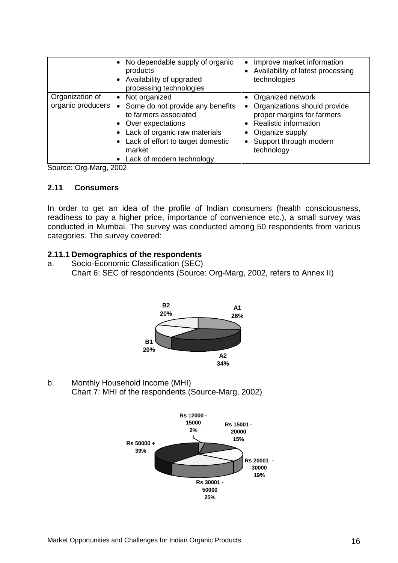|                                      | • No dependable supply of organic<br>products<br>Availability of upgraded<br>processing technologies                                                                                                                          | Improve market information<br>• Availability of latest processing<br>technologies                                                                                           |
|--------------------------------------|-------------------------------------------------------------------------------------------------------------------------------------------------------------------------------------------------------------------------------|-----------------------------------------------------------------------------------------------------------------------------------------------------------------------------|
| Organization of<br>organic producers | • Not organized<br>Some do not provide any benefits<br>$\bullet$<br>to farmers associated<br>• Over expectations<br>Lack of organic raw materials<br>Lack of effort to target domestic<br>market<br>Lack of modern technology | • Organized network<br>• Organizations should provide<br>proper margins for farmers<br>• Realistic information<br>• Organize supply<br>Support through modern<br>technology |

Source: Org-Marg, 2002

#### **2.11 Consumers**

In order to get an idea of the profile of Indian consumers (health consciousness, readiness to pay a higher price, importance of convenience etc.), a small survey was conducted in Mumbai. The survey was conducted among 50 respondents from various categories. The survey covered:

#### **2.11.1 Demographics of the respondents**

a. Socio-Economic Classification (SEC) Chart 6: SEC of respondents (Source: Org-Marg, 2002, refers to Annex II)



b. Monthly Household Income (MHI) Chart 7: MHI of the respondents (Source-Marg, 2002)

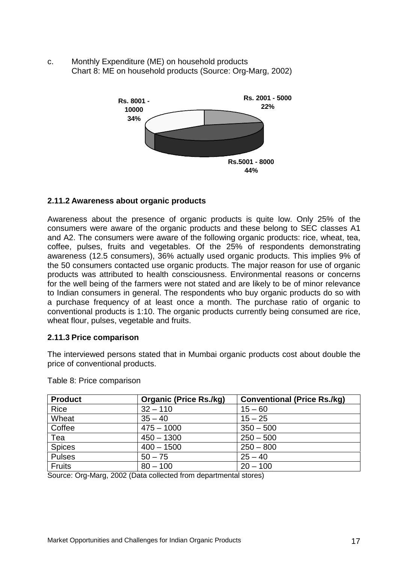c. Monthly Expenditure (ME) on household products Chart 8: ME on household products (Source: Org-Marg, 2002)



#### **2.11.2 Awareness about organic products**

Awareness about the presence of organic products is quite low. Only 25% of the consumers were aware of the organic products and these belong to SEC classes A1 and A2. The consumers were aware of the following organic products: rice, wheat, tea, coffee, pulses, fruits and vegetables. Of the 25% of respondents demonstrating awareness (12.5 consumers), 36% actually used organic products. This implies 9% of the 50 consumers contacted use organic products. The major reason for use of organic products was attributed to health consciousness. Environmental reasons or concerns for the well being of the farmers were not stated and are likely to be of minor relevance to Indian consumers in general. The respondents who buy organic products do so with a purchase frequency of at least once a month. The purchase ratio of organic to conventional products is 1:10. The organic products currently being consumed are rice, wheat flour, pulses, vegetable and fruits.

#### **2.11.3 Price comparison**

The interviewed persons stated that in Mumbai organic products cost about double the price of conventional products.

| <b>Product</b> | <b>Organic (Price Rs./kg)</b> | <b>Conventional (Price Rs./kg)</b> |
|----------------|-------------------------------|------------------------------------|
| Rice           | $32 - 110$                    | $15 - 60$                          |
| Wheat          | $35 - 40$                     | $15 - 25$                          |
| Coffee         | $475 - 1000$                  | $350 - 500$                        |
| Tea            | $450 - 1300$                  | $250 - 500$                        |
| <b>Spices</b>  | $400 - 1500$                  | $250 - 800$                        |
| <b>Pulses</b>  | $50 - 75$                     | $25 - 40$                          |
| <b>Fruits</b>  | $80 - 100$                    | $20 - 100$                         |

Table 8: Price comparison

Source: Org-Marg, 2002 (Data collected from departmental stores)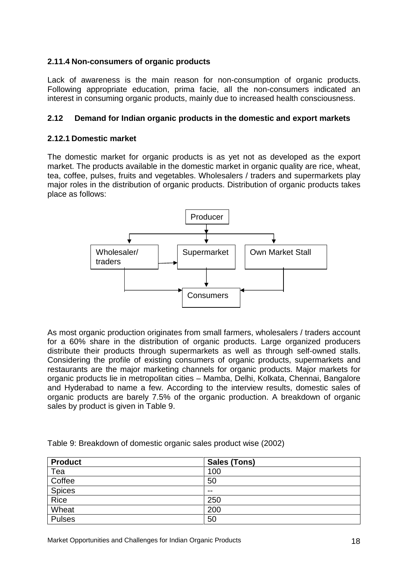#### **2.11.4 Non-consumers of organic products**

Lack of awareness is the main reason for non-consumption of organic products. Following appropriate education, prima facie, all the non-consumers indicated an interest in consuming organic products, mainly due to increased health consciousness.

#### **2.12 Demand for Indian organic products in the domestic and export markets**

#### **2.12.1 Domestic market**

The domestic market for organic products is as yet not as developed as the export market. The products available in the domestic market in organic quality are rice, wheat, tea, coffee, pulses, fruits and vegetables. Wholesalers / traders and supermarkets play major roles in the distribution of organic products. Distribution of organic products takes place as follows:



As most organic production originates from small farmers, wholesalers / traders account for a 60% share in the distribution of organic products. Large organized producers distribute their products through supermarkets as well as through self-owned stalls. Considering the profile of existing consumers of organic products, supermarkets and restaurants are the major marketing channels for organic products. Major markets for organic products lie in metropolitan cities – Mamba, Delhi, Kolkata, Chennai, Bangalore and Hyderabad to name a few. According to the interview results, domestic sales of organic products are barely 7.5% of the organic production. A breakdown of organic sales by product is given in Table 9.

| <b>Product</b> | <b>Sales (Tons)</b> |
|----------------|---------------------|
| Tea            | 100                 |
| Coffee         | 50                  |
| <b>Spices</b>  | $- -$               |
| Rice           | 250                 |
| Wheat          | 200                 |
| <b>Pulses</b>  | 50                  |

Table 9: Breakdown of domestic organic sales product wise (2002)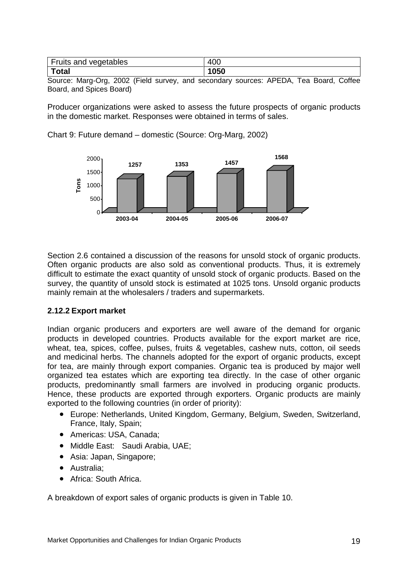| Fruits and vegetables | 400 |
|-----------------------|-----|
| <b>Total</b>          | 050 |

Source: Marg-Org, 2002 (Field survey, and secondary sources: APEDA, Tea Board, Coffee Board, and Spices Board)

Producer organizations were asked to assess the future prospects of organic products in the domestic market. Responses were obtained in terms of sales.

Chart 9: Future demand – domestic (Source: Org-Marg, 2002)



Section 2.6 contained a discussion of the reasons for unsold stock of organic products. Often organic products are also sold as conventional products. Thus, it is extremely difficult to estimate the exact quantity of unsold stock of organic products. Based on the survey, the quantity of unsold stock is estimated at 1025 tons. Unsold organic products mainly remain at the wholesalers / traders and supermarkets.

#### **2.12.2 Export market**

Indian organic producers and exporters are well aware of the demand for organic products in developed countries. Products available for the export market are rice, wheat, tea, spices, coffee, pulses, fruits & vegetables, cashew nuts, cotton, oil seeds and medicinal herbs. The channels adopted for the export of organic products, except for tea, are mainly through export companies. Organic tea is produced by major well organized tea estates which are exporting tea directly. In the case of other organic products, predominantly small farmers are involved in producing organic products. Hence, these products are exported through exporters. Organic products are mainly exported to the following countries (in order of priority):

- Europe: Netherlands, United Kingdom, Germany, Belgium, Sweden, Switzerland, France, Italy, Spain;
- Americas: USA, Canada;
- Middle East: Saudi Arabia, UAE;
- Asia: Japan, Singapore;
- Australia;
- Africa: South Africa.

A breakdown of export sales of organic products is given in Table 10.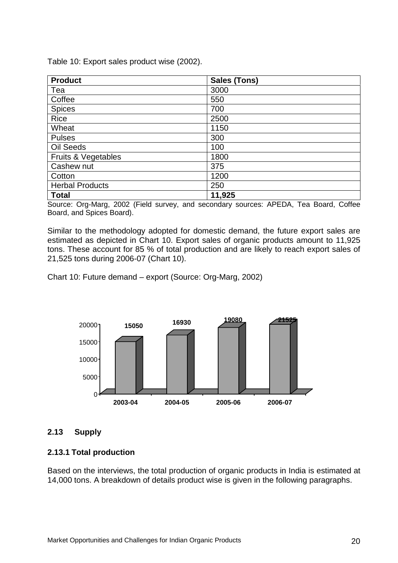Table 10: Export sales product wise (2002).

| <b>Product</b>         | <b>Sales (Tons)</b> |
|------------------------|---------------------|
| Tea                    | 3000                |
| Coffee                 | 550                 |
| <b>Spices</b>          | 700                 |
| <b>Rice</b>            | 2500                |
| Wheat                  | 1150                |
| <b>Pulses</b>          | 300                 |
| Oil Seeds              | 100                 |
| Fruits & Vegetables    | 1800                |
| Cashew nut             | 375                 |
| Cotton                 | 1200                |
| <b>Herbal Products</b> | 250                 |
| <b>Total</b>           | 11,925              |

Source: Org-Marg, 2002 (Field survey, and secondary sources: APEDA, Tea Board, Coffee Board, and Spices Board).

Similar to the methodology adopted for domestic demand, the future export sales are estimated as depicted in Chart 10. Export sales of organic products amount to 11,925 tons. These account for 85 % of total production and are likely to reach export sales of 21,525 tons during 2006-07 (Chart 10).

Chart 10: Future demand – export (Source: Org-Marg, 2002)



#### **2.13 Supply**

#### **2.13.1 Total production**

Based on the interviews, the total production of organic products in India is estimated at 14,000 tons. A breakdown of details product wise is given in the following paragraphs.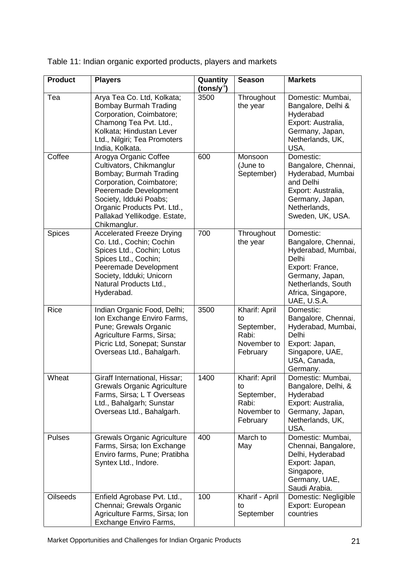| <b>Product</b>  | <b>Players</b>                                                                                                                                                                                                                            | Quantity<br>$(tons/y-1)$ | <b>Season</b>                                                         | <b>Markets</b>                                                                                                                                                   |
|-----------------|-------------------------------------------------------------------------------------------------------------------------------------------------------------------------------------------------------------------------------------------|--------------------------|-----------------------------------------------------------------------|------------------------------------------------------------------------------------------------------------------------------------------------------------------|
| Tea             | Arya Tea Co. Ltd, Kolkata;<br><b>Bombay Burmah Trading</b><br>Corporation, Coimbatore;<br>Chamong Tea Pvt. Ltd.,<br>Kolkata; Hindustan Lever<br>Ltd., Nilgiri; Tea Promoters<br>India, Kolkata.                                           | 3500                     | Throughout<br>the year                                                | Domestic: Mumbai,<br>Bangalore, Delhi &<br>Hyderabad<br>Export: Australia,<br>Germany, Japan,<br>Netherlands, UK,<br>USA.                                        |
| Coffee          | Arogya Organic Coffee<br>Cultivators, Chikmanglur<br>Bombay; Burmah Trading<br>Corporation, Coimbatore;<br>Peeremade Development<br>Society, Idduki Poabs;<br>Organic Products Pvt. Ltd.,<br>Pallakad Yellikodge. Estate,<br>Chikmanglur. | 600                      | Monsoon<br>(June to<br>September)                                     | Domestic:<br>Bangalore, Chennai,<br>Hyderabad, Mumbai<br>and Delhi<br>Export: Australia,<br>Germany, Japan,<br>Netherlands,<br>Sweden, UK, USA.                  |
| <b>Spices</b>   | <b>Accelerated Freeze Drying</b><br>Co. Ltd., Cochin; Cochin<br>Spices Ltd., Cochin; Lotus<br>Spices Ltd., Cochin;<br>Peeremade Development<br>Society, Idduki; Unicorn<br>Natural Products Ltd.,<br>Hyderabad.                           | 700                      | Throughout<br>the year                                                | Domestic:<br>Bangalore, Chennai,<br>Hyderabad, Mumbai,<br>Delhi<br>Export: France,<br>Germany, Japan,<br>Netherlands, South<br>Africa, Singapore,<br>UAE, U.S.A. |
| Rice            | Indian Organic Food, Delhi;<br>Ion Exchange Enviro Farms,<br>Pune; Grewals Organic<br>Agriculture Farms, Sirsa;<br>Picric Ltd, Sonepat; Sunstar<br>Overseas Ltd., Bahalgarh.                                                              | 3500                     | Kharif: April<br>to<br>September,<br>Rabi:<br>November to<br>February | Domestic:<br>Bangalore, Chennai,<br>Hyderabad, Mumbai,<br>Delhi<br>Export: Japan,<br>Singapore, UAE,<br>USA, Canada,<br>Germany.                                 |
| Wheat           | Giraff International, Hissar;<br><b>Grewals Organic Agriculture</b><br>Farms, Sirsa; L T Overseas<br>Ltd., Bahalgarh; Sunstar<br>Overseas Ltd., Bahalgarh.                                                                                | 1400                     | Kharif: April<br>to<br>September,<br>Rabi:<br>November to<br>February | Domestic: Mumbai,<br>Bangalore, Delhi, &<br>Hyderabad<br>Export: Australia,<br>Germany, Japan,<br>Netherlands, UK,<br>USA.                                       |
| Pulses          | <b>Grewals Organic Agriculture</b><br>Farms, Sirsa; Ion Exchange<br>Enviro farms, Pune; Pratibha<br>Syntex Ltd., Indore.                                                                                                                  | 400                      | March to<br>May                                                       | Domestic: Mumbai,<br>Chennai, Bangalore,<br>Delhi, Hyderabad<br>Export: Japan,<br>Singapore,<br>Germany, UAE,<br>Saudi Arabia.                                   |
| <b>Oilseeds</b> | Enfield Agrobase Pvt. Ltd.,<br>Chennai; Grewals Organic<br>Agriculture Farms, Sirsa; Ion<br>Exchange Enviro Farms,                                                                                                                        | 100                      | Kharif - April<br>to<br>September                                     | Domestic: Negligible<br>Export: European<br>countries                                                                                                            |

Table 11: Indian organic exported products, players and markets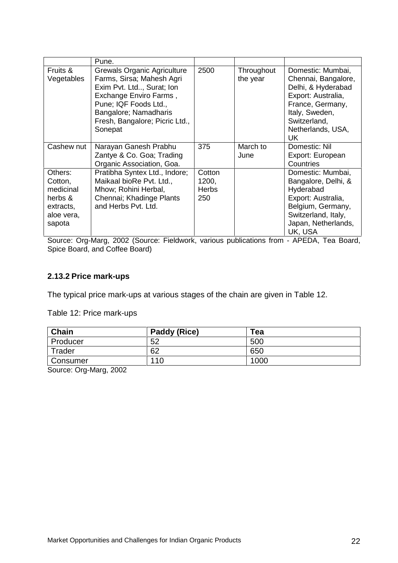|                                                                                 | Pune.                                                                                                                                                                                                                 |                                        |                        |                                                                                                                                                                        |
|---------------------------------------------------------------------------------|-----------------------------------------------------------------------------------------------------------------------------------------------------------------------------------------------------------------------|----------------------------------------|------------------------|------------------------------------------------------------------------------------------------------------------------------------------------------------------------|
| Fruits &<br>Vegetables                                                          | <b>Grewals Organic Agriculture</b><br>Farms, Sirsa; Mahesh Agri<br>Exim Pvt. Ltd, Surat; Ion<br>Exchange Enviro Farms,<br>Pune; IQF Foods Ltd.,<br>Bangalore; Namadharis<br>Fresh, Bangalore; Picric Ltd.,<br>Sonepat | 2500                                   | Throughout<br>the year | Domestic: Mumbai,<br>Chennai, Bangalore,<br>Delhi, & Hyderabad<br>Export: Australia,<br>France, Germany,<br>Italy, Sweden,<br>Switzerland,<br>Netherlands, USA,<br>UK. |
| Cashew nut                                                                      | Narayan Ganesh Prabhu<br>Zantye & Co. Goa; Trading<br>Organic Association, Goa.                                                                                                                                       | 375                                    | March to<br>June       | Domestic: Nil<br>Export: European<br>Countries                                                                                                                         |
| Others:<br>Cotton,<br>medicinal<br>herbs &<br>extracts,<br>aloe vera,<br>sapota | Pratibha Syntex Ltd., Indore;<br>Maikaal bioRe Pvt. Ltd.,<br>Mhow; Rohini Herbal,<br>Chennai; Khadinge Plants<br>and Herbs Pvt. Ltd.                                                                                  | Cotton<br>1200,<br><b>Herbs</b><br>250 |                        | Domestic: Mumbai,<br>Bangalore, Delhi, &<br>Hyderabad<br>Export: Australia,<br>Belgium, Germany,<br>Switzerland, Italy,<br>Japan, Netherlands,<br>UK, USA              |

Source: Org-Marg, 2002 (Source: Fieldwork, various publications from - APEDA, Tea Board, Spice Board, and Coffee Board)

#### **2.13.2 Price mark-ups**

The typical price mark-ups at various stages of the chain are given in Table 12.

Table 12: Price mark-ups

| Chain    | Paddy (Rice) | Tea  |
|----------|--------------|------|
| Producer | 52           | 500  |
| Trader   | 62           | 650  |
| Consumer | 110          | 1000 |

Source: Org-Marg, 2002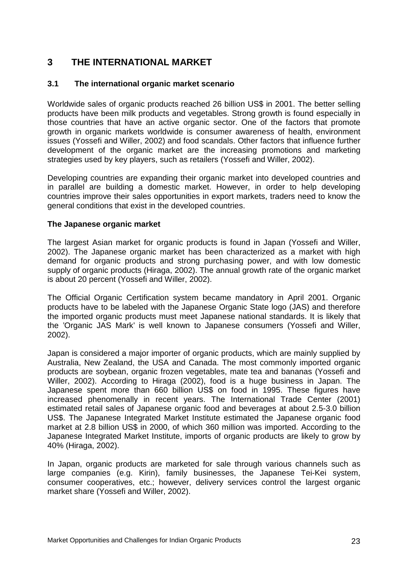# **3 THE INTERNATIONAL MARKET**

### **3.1 The international organic market scenario**

Worldwide sales of organic products reached 26 billion US\$ in 2001. The better selling products have been milk products and vegetables. Strong growth is found especially in those countries that have an active organic sector. One of the factors that promote growth in organic markets worldwide is consumer awareness of health, environment issues (Yossefi and Willer, 2002) and food scandals. Other factors that influence further development of the organic market are the increasing promotions and marketing strategies used by key players, such as retailers (Yossefi and Willer, 2002).

Developing countries are expanding their organic market into developed countries and in parallel are building a domestic market. However, in order to help developing countries improve their sales opportunities in export markets, traders need to know the general conditions that exist in the developed countries.

#### **The Japanese organic market**

The largest Asian market for organic products is found in Japan (Yossefi and Willer, 2002). The Japanese organic market has been characterized as a market with high demand for organic products and strong purchasing power, and with low domestic supply of organic products (Hiraga, 2002). The annual growth rate of the organic market is about 20 percent (Yossefi and Willer, 2002).

The Official Organic Certification system became mandatory in April 2001. Organic products have to be labeled with the Japanese Organic State logo (JAS) and therefore the imported organic products must meet Japanese national standards. It is likely that the 'Organic JAS Mark' is well known to Japanese consumers (Yossefi and Willer, 2002).

Japan is considered a major importer of organic products, which are mainly supplied by Australia, New Zealand, the USA and Canada. The most commonly imported organic products are soybean, organic frozen vegetables, mate tea and bananas (Yossefi and Willer, 2002). According to Hiraga (2002), food is a huge business in Japan. The Japanese spent more than 660 billion US\$ on food in 1995. These figures have increased phenomenally in recent years. The International Trade Center (2001) estimated retail sales of Japanese organic food and beverages at about 2.5-3.0 billion US\$. The Japanese Integrated Market Institute estimated the Japanese organic food market at 2.8 billion US\$ in 2000, of which 360 million was imported. According to the Japanese Integrated Market Institute, imports of organic products are likely to grow by 40% (Hiraga, 2002).

In Japan, organic products are marketed for sale through various channels such as large companies (e.g. Kirin), family businesses, the Japanese Tei-Kei system, consumer cooperatives, etc.; however, delivery services control the largest organic market share (Yossefi and Willer, 2002).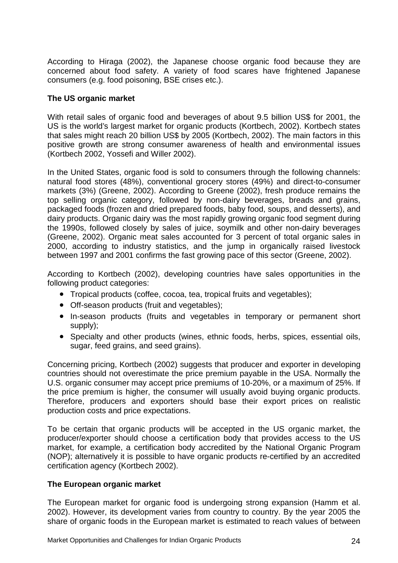According to Hiraga (2002), the Japanese choose organic food because they are concerned about food safety. A variety of food scares have frightened Japanese consumers (e.g. food poisoning, BSE crises etc.).

#### **The US organic market**

With retail sales of organic food and beverages of about 9.5 billion US\$ for 2001, the US is the world's largest market for organic products (Kortbech, 2002). Kortbech states that sales might reach 20 billion US\$ by 2005 (Kortbech, 2002). The main factors in this positive growth are strong consumer awareness of health and environmental issues (Kortbech 2002, Yossefi and Willer 2002).

In the United States, organic food is sold to consumers through the following channels: natural food stores (48%), conventional grocery stores (49%) and direct-to-consumer markets (3%) (Greene, 2002). According to Greene (2002), fresh produce remains the top selling organic category, followed by non-dairy beverages, breads and grains, packaged foods (frozen and dried prepared foods, baby food, soups, and desserts), and dairy products. Organic dairy was the most rapidly growing organic food segment during the 1990s, followed closely by sales of juice, soymilk and other non-dairy beverages (Greene, 2002). Organic meat sales accounted for 3 percent of total organic sales in 2000, according to industry statistics, and the jump in organically raised livestock between 1997 and 2001 confirms the fast growing pace of this sector (Greene, 2002).

According to Kortbech (2002), developing countries have sales opportunities in the following product categories:

- Tropical products (coffee, cocoa, tea, tropical fruits and vegetables);
- Off-season products (fruit and vegetables);
- In-season products (fruits and vegetables in temporary or permanent short supply);
- Specialty and other products (wines, ethnic foods, herbs, spices, essential oils, sugar, feed grains, and seed grains).

Concerning pricing, Kortbech (2002) suggests that producer and exporter in developing countries should not overestimate the price premium payable in the USA. Normally the U.S. organic consumer may accept price premiums of 10-20%, or a maximum of 25%. If the price premium is higher, the consumer will usually avoid buying organic products. Therefore, producers and exporters should base their export prices on realistic production costs and price expectations.

To be certain that organic products will be accepted in the US organic market, the producer/exporter should choose a certification body that provides access to the US market, for example, a certification body accredited by the National Organic Program (NOP); alternatively it is possible to have organic products re-certified by an accredited certification agency (Kortbech 2002).

#### **The European organic market**

The European market for organic food is undergoing strong expansion (Hamm et al. 2002). However, its development varies from country to country. By the year 2005 the share of organic foods in the European market is estimated to reach values of between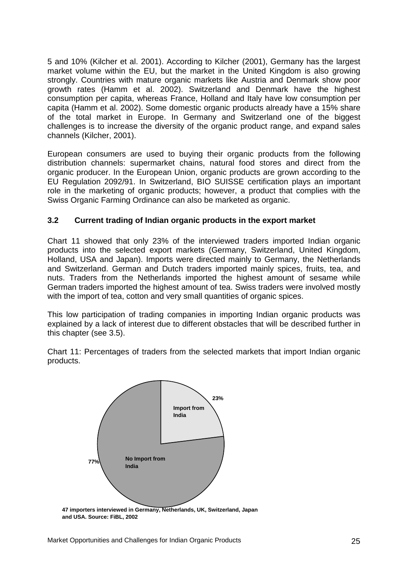5 and 10% (Kilcher et al. 2001). According to Kilcher (2001), Germany has the largest market volume within the EU, but the market in the United Kingdom is also growing strongly. Countries with mature organic markets like Austria and Denmark show poor growth rates (Hamm et al. 2002). Switzerland and Denmark have the highest consumption per capita, whereas France, Holland and Italy have low consumption per capita (Hamm et al. 2002). Some domestic organic products already have a 15% share of the total market in Europe. In Germany and Switzerland one of the biggest challenges is to increase the diversity of the organic product range, and expand sales channels (Kilcher, 2001).

European consumers are used to buying their organic products from the following distribution channels: supermarket chains, natural food stores and direct from the organic producer. In the European Union, organic products are grown according to the EU Regulation 2092/91. In Switzerland, BIO SUISSE certification plays an important role in the marketing of organic products; however, a product that complies with the Swiss Organic Farming Ordinance can also be marketed as organic.

#### **3.2 Current trading of Indian organic products in the export market**

Chart 11 showed that only 23% of the interviewed traders imported Indian organic products into the selected export markets (Germany, Switzerland, United Kingdom, Holland, USA and Japan). Imports were directed mainly to Germany, the Netherlands and Switzerland. German and Dutch traders imported mainly spices, fruits, tea, and nuts. Traders from the Netherlands imported the highest amount of sesame while German traders imported the highest amount of tea. Swiss traders were involved mostly with the import of tea, cotton and very small quantities of organic spices.

This low participation of trading companies in importing Indian organic products was explained by a lack of interest due to different obstacles that will be described further in this chapter (see 3.5).

Chart 11: Percentages of traders from the selected markets that import Indian organic products.



**and USA. Source: FiBL, 2002**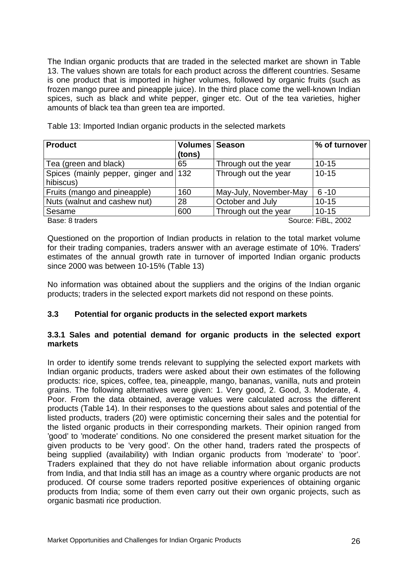The Indian organic products that are traded in the selected market are shown in Table 13. The values shown are totals for each product across the different countries. Sesame is one product that is imported in higher volumes, followed by organic fruits (such as frozen mango puree and pineapple juice). In the third place come the well-known Indian spices, such as black and white pepper, ginger etc. Out of the tea varieties, higher amounts of black tea than green tea are imported.

|  | Table 13: Imported Indian organic products in the selected markets |  |
|--|--------------------------------------------------------------------|--|
|--|--------------------------------------------------------------------|--|

| <b>Product</b>                        | <b>Volumes Season</b> |                        | % of turnover |
|---------------------------------------|-----------------------|------------------------|---------------|
|                                       | (tons)                |                        |               |
| Tea (green and black)                 | 65                    | Through out the year   | $10 - 15$     |
| Spices (mainly pepper, ginger and 132 |                       | Through out the year   | $10 - 15$     |
| hibiscus)                             |                       |                        |               |
| Fruits (mango and pineapple)          | 160                   | May-July, November-May | $6 - 10$      |
| Nuts (walnut and cashew nut)          | 28                    | October and July       | $10 - 15$     |
| Sesame                                | 600                   | Through out the year   | $10 - 15$     |
|                                       |                       |                        |               |

Base: 8 traders Source: FiBL, 2002

Questioned on the proportion of Indian products in relation to the total market volume for their trading companies, traders answer with an average estimate of 10%. Traders' estimates of the annual growth rate in turnover of imported Indian organic products since 2000 was between 10-15% (Table 13)

No information was obtained about the suppliers and the origins of the Indian organic products; traders in the selected export markets did not respond on these points.

#### **3.3 Potential for organic products in the selected export markets**

#### **3.3.1 Sales and potential demand for organic products in the selected export markets**

In order to identify some trends relevant to supplying the selected export markets with Indian organic products, traders were asked about their own estimates of the following products: rice, spices, coffee, tea, pineapple, mango, bananas, vanilla, nuts and protein grains. The following alternatives were given: 1. Very good, 2. Good, 3. Moderate, 4. Poor. From the data obtained, average values were calculated across the different products (Table 14). In their responses to the questions about sales and potential of the listed products, traders (20) were optimistic concerning their sales and the potential for the listed organic products in their corresponding markets. Their opinion ranged from 'good' to 'moderate' conditions. No one considered the present market situation for the given products to be 'very good'. On the other hand, traders rated the prospects of being supplied (availability) with Indian organic products from 'moderate' to 'poor'. Traders explained that they do not have reliable information about organic products from India, and that India still has an image as a country where organic products are not produced. Of course some traders reported positive experiences of obtaining organic products from India; some of them even carry out their own organic projects, such as organic basmati rice production.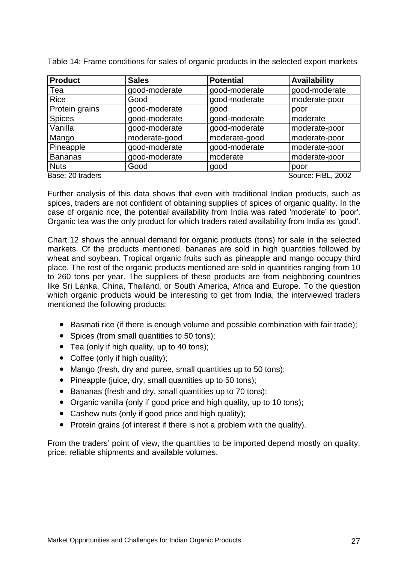| <b>Product</b>   | <b>Sales</b>  | <b>Potential</b> | <b>Availability</b> |
|------------------|---------------|------------------|---------------------|
| Tea              | good-moderate | good-moderate    | good-moderate       |
| <b>Rice</b>      | Good          | good-moderate    | moderate-poor       |
| Protein grains   | good-moderate | good             | poor                |
| <b>Spices</b>    | good-moderate | good-moderate    | moderate            |
| Vanilla          | good-moderate | good-moderate    | moderate-poor       |
| Mango            | moderate-good | moderate-good    | moderate-poor       |
| Pineapple        | good-moderate | good-moderate    | moderate-poor       |
| <b>Bananas</b>   | good-moderate | moderate         | moderate-poor       |
| <b>Nuts</b>      | Good          | good             | poor                |
| Base: 20 traders |               |                  | Source: FiBL, 2002  |

Table 14: Frame conditions for sales of organic products in the selected export markets

Further analysis of this data shows that even with traditional Indian products, such as spices, traders are not confident of obtaining supplies of spices of organic quality. In the case of organic rice, the potential availability from India was rated 'moderate' to 'poor'. Organic tea was the only product for which traders rated availability from India as 'good'.

Chart 12 shows the annual demand for organic products (tons) for sale in the selected markets. Of the products mentioned, bananas are sold in high quantities followed by wheat and soybean. Tropical organic fruits such as pineapple and mango occupy third place. The rest of the organic products mentioned are sold in quantities ranging from 10 to 260 tons per year. The suppliers of these products are from neighboring countries like Sri Lanka, China, Thailand, or South America, Africa and Europe. To the question which organic products would be interesting to get from India, the interviewed traders mentioned the following products:

- Basmati rice (if there is enough volume and possible combination with fair trade);
- Spices (from small quantities to 50 tons):
- Tea (only if high quality, up to 40 tons);
- Coffee (only if high quality);
- Mango (fresh, dry and puree, small quantities up to 50 tons);
- Pineapple (juice, dry, small quantities up to 50 tons);
- Bananas (fresh and dry, small quantities up to 70 tons);
- Organic vanilla (only if good price and high quality, up to 10 tons);
- Cashew nuts (only if good price and high quality);
- Protein grains (of interest if there is not a problem with the quality).

From the traders' point of view, the quantities to be imported depend mostly on quality, price, reliable shipments and available volumes.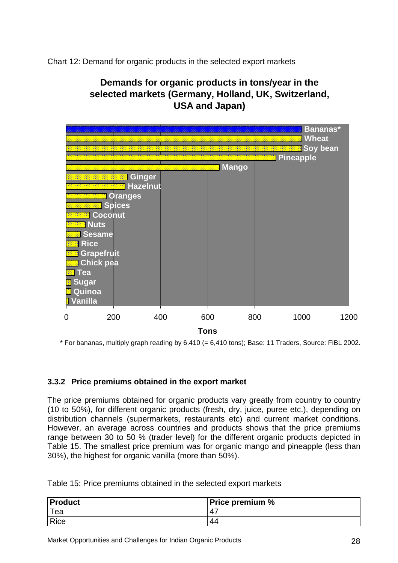Chart 12: Demand for organic products in the selected export markets

# **Demands for organic products in tons/year in the selected markets (Germany, Holland, UK, Switzerland, USA and Japan)**



\* For bananas, multiply graph reading by 6.410 (= 6,410 tons); Base: 11 Traders, Source: FiBL 2002.

#### **3.3.2 Price premiums obtained in the export market**

The price premiums obtained for organic products vary greatly from country to country (10 to 50%), for different organic products (fresh, dry, juice, puree etc.), depending on distribution channels (supermarkets, restaurants etc) and current market conditions. However, an average across countries and products shows that the price premiums range between 30 to 50 % (trader level) for the different organic products depicted in Table 15. The smallest price premium was for organic mango and pineapple (less than 30%), the highest for organic vanilla (more than 50%).

|  |  | Table 15: Price premiums obtained in the selected export markets |
|--|--|------------------------------------------------------------------|
|--|--|------------------------------------------------------------------|

| Product     | <b>Price premium %</b> |
|-------------|------------------------|
| Tea         | Δ                      |
| <b>Rice</b> | -44                    |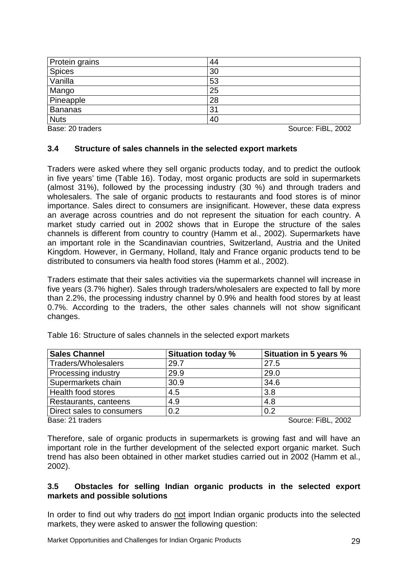| Protein grains   | 44 |                    |
|------------------|----|--------------------|
| <b>Spices</b>    | 30 |                    |
| Vanilla          | 53 |                    |
| Mango            | 25 |                    |
| Pineapple        | 28 |                    |
| <b>Bananas</b>   | 31 |                    |
| <b>Nuts</b>      | 40 |                    |
| Base: 20 traders |    | Source: FiBL, 2002 |

#### **3.4 Structure of sales channels in the selected export markets**

Traders were asked where they sell organic products today, and to predict the outlook in five years' time (Table 16). Today, most organic products are sold in supermarkets (almost 31%), followed by the processing industry (30 %) and through traders and wholesalers. The sale of organic products to restaurants and food stores is of minor importance. Sales direct to consumers are insignificant. However, these data express an average across countries and do not represent the situation for each country. A market study carried out in 2002 shows that in Europe the structure of the sales channels is different from country to country (Hamm et al., 2002). Supermarkets have an important role in the Scandinavian countries, Switzerland, Austria and the United Kingdom. However, in Germany, Holland, Italy and France organic products tend to be distributed to consumers via health food stores (Hamm et al., 2002).

Traders estimate that their sales activities via the supermarkets channel will increase in five years (3.7% higher). Sales through traders/wholesalers are expected to fall by more than 2.2%, the processing industry channel by 0.9% and health food stores by at least 0.7%. According to the traders, the other sales channels will not show significant changes.

| <b>Sales Channel</b>      | <b>Situation today %</b> | Situation in 5 years % |
|---------------------------|--------------------------|------------------------|
| Traders/Wholesalers       | 29.7                     | 27.5                   |
| Processing industry       | 29.9                     | 29.0                   |
| Supermarkets chain        | 30.9                     | 34.6                   |
| Health food stores        | 4.5                      | 3.8                    |
| Restaurants, canteens     | 4.9                      | 4.8                    |
| Direct sales to consumers | 0.2                      | 0.2                    |
| Base: 21 traders          |                          | Source: FiBL, 2002     |

Table 16: Structure of sales channels in the selected export markets

Therefore, sale of organic products in supermarkets is growing fast and will have an important role in the further development of the selected export organic market. Such trend has also been obtained in other market studies carried out in 2002 (Hamm et al., 2002).

#### **3.5 Obstacles for selling Indian organic products in the selected export markets and possible solutions**

In order to find out why traders do not import Indian organic products into the selected markets, they were asked to answer the following question: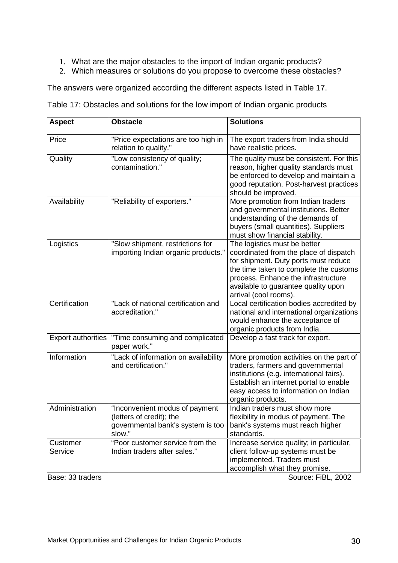- 1. What are the major obstacles to the import of Indian organic products?
- 2. Which measures or solutions do you propose to overcome these obstacles?

The answers were organized according the different aspects listed in Table 17.

Table 17: Obstacles and solutions for the low import of Indian organic products

| <b>Aspect</b>             | <b>Obstacle</b>                                                                                           | <b>Solutions</b>                                                                                                                                                                                                                                                |
|---------------------------|-----------------------------------------------------------------------------------------------------------|-----------------------------------------------------------------------------------------------------------------------------------------------------------------------------------------------------------------------------------------------------------------|
| Price                     | "Price expectations are too high in<br>relation to quality."                                              | The export traders from India should<br>have realistic prices.                                                                                                                                                                                                  |
| Quality                   | "Low consistency of quality;<br>contamination."                                                           | The quality must be consistent. For this<br>reason, higher quality standards must<br>be enforced to develop and maintain a<br>good reputation. Post-harvest practices<br>should be improved.                                                                    |
| Availability              | "Reliability of exporters."                                                                               | More promotion from Indian traders<br>and governmental institutions. Better<br>understanding of the demands of<br>buyers (small quantities). Suppliers<br>must show financial stability.                                                                        |
| Logistics                 | "Slow shipment, restrictions for<br>importing Indian organic products."                                   | The logistics must be better<br>coordinated from the place of dispatch<br>for shipment. Duty ports must reduce<br>the time taken to complete the customs<br>process. Enhance the infrastructure<br>available to guarantee quality upon<br>arrival (cool rooms). |
| Certification             | "Lack of national certification and<br>accreditation."                                                    | Local certification bodies accredited by<br>national and international organizations<br>would enhance the acceptance of<br>organic products from India.                                                                                                         |
| <b>Export authorities</b> | "Time consuming and complicated<br>paper work."                                                           | Develop a fast track for export.                                                                                                                                                                                                                                |
| Information               | "Lack of information on availability<br>and certification."                                               | More promotion activities on the part of<br>traders, farmers and governmental<br>institutions (e.g. international fairs).<br>Establish an internet portal to enable<br>easy access to information on Indian<br>organic products.                                |
| Administration            | "Inconvenient modus of payment<br>(letters of credit); the<br>governmental bank's system is too<br>slow." | Indian traders must show more<br>flexibility in modus of payment. The<br>bank's systems must reach higher<br>standards.                                                                                                                                         |
| Customer<br>Service       | "Poor customer service from the<br>Indian traders after sales."                                           | Increase service quality; in particular,<br>client follow-up systems must be<br>implemented. Traders must<br>accomplish what they promise.                                                                                                                      |

Base: 33 traders Source: FiBL, 2002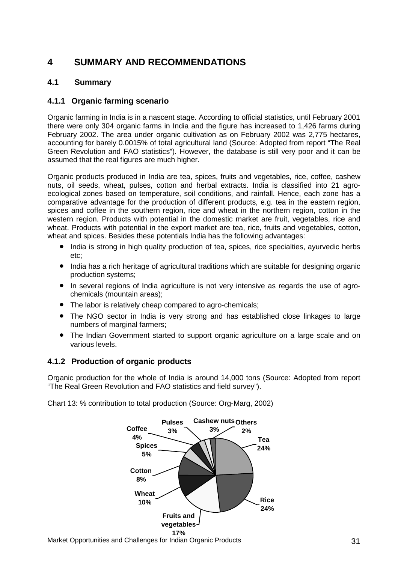# **4 SUMMARY AND RECOMMENDATIONS**

### **4.1 Summary**

#### **4.1.1 Organic farming scenario**

Organic farming in India is in a nascent stage. According to official statistics, until February 2001 there were only 304 organic farms in India and the figure has increased to 1,426 farms during February 2002. The area under organic cultivation as on February 2002 was 2,775 hectares, accounting for barely 0.0015% of total agricultural land (Source: Adopted from report "The Real Green Revolution and FAO statistics"). However, the database is still very poor and it can be assumed that the real figures are much higher.

Organic products produced in India are tea, spices, fruits and vegetables, rice, coffee, cashew nuts, oil seeds, wheat, pulses, cotton and herbal extracts. India is classified into 21 agroecological zones based on temperature, soil conditions, and rainfall. Hence, each zone has a comparative advantage for the production of different products, e.g. tea in the eastern region, spices and coffee in the southern region, rice and wheat in the northern region, cotton in the western region. Products with potential in the domestic market are fruit, vegetables, rice and wheat. Products with potential in the export market are tea, rice, fruits and vegetables, cotton, wheat and spices. Besides these potentials India has the following advantages:

- India is strong in high quality production of tea, spices, rice specialties, ayurvedic herbs etc;
- India has a rich heritage of agricultural traditions which are suitable for designing organic production systems;
- In several regions of India agriculture is not very intensive as regards the use of agrochemicals (mountain areas);
- The labor is relatively cheap compared to agro-chemicals;
- The NGO sector in India is very strong and has established close linkages to large numbers of marginal farmers;
- The Indian Government started to support organic agriculture on a large scale and on various levels.

#### **4.1.2 Production of organic products**

Organic production for the whole of India is around 14,000 tons (Source: Adopted from report "The Real Green Revolution and FAO statistics and field survey").

Chart 13: % contribution to total production (Source: Org-Marg, 2002)

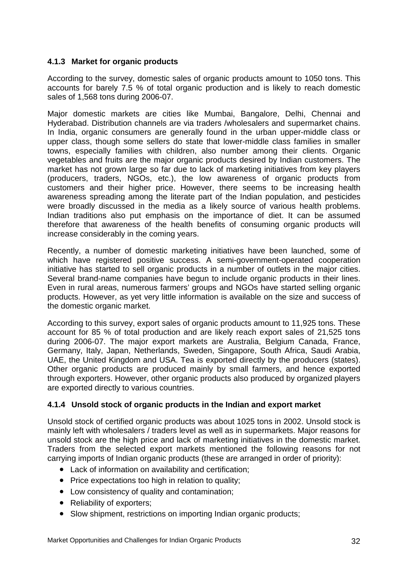#### **4.1.3 Market for organic products**

According to the survey, domestic sales of organic products amount to 1050 tons. This accounts for barely 7.5 % of total organic production and is likely to reach domestic sales of 1,568 tons during 2006-07.

Major domestic markets are cities like Mumbai, Bangalore, Delhi, Chennai and Hyderabad. Distribution channels are via traders /wholesalers and supermarket chains. In India, organic consumers are generally found in the urban upper-middle class or upper class, though some sellers do state that lower-middle class families in smaller towns, especially families with children, also number among their clients. Organic vegetables and fruits are the major organic products desired by Indian customers. The market has not grown large so far due to lack of marketing initiatives from key players (producers, traders, NGOs, etc.), the low awareness of organic products from customers and their higher price. However, there seems to be increasing health awareness spreading among the literate part of the Indian population, and pesticides were broadly discussed in the media as a likely source of various health problems. Indian traditions also put emphasis on the importance of diet. It can be assumed therefore that awareness of the health benefits of consuming organic products will increase considerably in the coming years.

Recently, a number of domestic marketing initiatives have been launched, some of which have registered positive success. A semi-government-operated cooperation initiative has started to sell organic products in a number of outlets in the major cities. Several brand-name companies have begun to include organic products in their lines. Even in rural areas, numerous farmers' groups and NGOs have started selling organic products. However, as yet very little information is available on the size and success of the domestic organic market.

According to this survey, export sales of organic products amount to 11,925 tons. These account for 85 % of total production and are likely reach export sales of 21,525 tons during 2006-07. The major export markets are Australia, Belgium Canada, France, Germany, Italy, Japan, Netherlands, Sweden, Singapore, South Africa, Saudi Arabia, UAE, the United Kingdom and USA. Tea is exported directly by the producers (states). Other organic products are produced mainly by small farmers, and hence exported through exporters. However, other organic products also produced by organized players are exported directly to various countries.

#### **4.1.4 Unsold stock of organic products in the Indian and export market**

Unsold stock of certified organic products was about 1025 tons in 2002. Unsold stock is mainly left with wholesalers / traders level as well as in supermarkets. Major reasons for unsold stock are the high price and lack of marketing initiatives in the domestic market. Traders from the selected export markets mentioned the following reasons for not carrying imports of Indian organic products (these are arranged in order of priority):

- Lack of information on availability and certification;
- Price expectations too high in relation to quality;
- Low consistency of quality and contamination;
- Reliability of exporters;
- Slow shipment, restrictions on importing Indian organic products;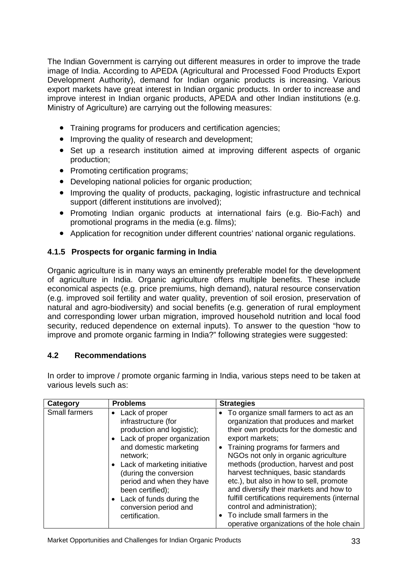The Indian Government is carrying out different measures in order to improve the trade image of India. According to APEDA (Agricultural and Processed Food Products Export Development Authority), demand for Indian organic products is increasing. Various export markets have great interest in Indian organic products. In order to increase and improve interest in Indian organic products, APEDA and other Indian institutions (e.g. Ministry of Agriculture) are carrying out the following measures:

- Training programs for producers and certification agencies;
- Improving the quality of research and development;
- Set up a research institution aimed at improving different aspects of organic production;
- Promoting certification programs;
- Developing national policies for organic production;
- Improving the quality of products, packaging, logistic infrastructure and technical support (different institutions are involved);
- Promoting Indian organic products at international fairs (e.g. Bio-Fach) and promotional programs in the media (e.g. films);
- Application for recognition under different countries' national organic regulations.

### **4.1.5 Prospects for organic farming in India**

Organic agriculture is in many ways an eminently preferable model for the development of agriculture in India. Organic agriculture offers multiple benefits. These include economical aspects (e.g. price premiums, high demand), natural resource conservation (e.g. improved soil fertility and water quality, prevention of soil erosion, preservation of natural and agro-biodiversity) and social benefits (e.g. generation of rural employment and corresponding lower urban migration, improved household nutrition and local food security, reduced dependence on external inputs). To answer to the question "how to improve and promote organic farming in India?" following strategies were suggested:

#### **4.2 Recommendations**

In order to improve / promote organic farming in India, various steps need to be taken at various levels such as:

| Category             | <b>Problems</b>                                                                                                                                                                                                                                                                                                               | <b>Strategies</b>                                                                                                                                                                                                                                                                                                                                                                                                                                                                                                                                                  |
|----------------------|-------------------------------------------------------------------------------------------------------------------------------------------------------------------------------------------------------------------------------------------------------------------------------------------------------------------------------|--------------------------------------------------------------------------------------------------------------------------------------------------------------------------------------------------------------------------------------------------------------------------------------------------------------------------------------------------------------------------------------------------------------------------------------------------------------------------------------------------------------------------------------------------------------------|
| <b>Small farmers</b> | Lack of proper<br>infrastructure (for<br>production and logistic);<br>• Lack of proper organization<br>and domestic marketing<br>network;<br>• Lack of marketing initiative<br>(during the conversion<br>period and when they have<br>been certified);<br>Lack of funds during the<br>conversion period and<br>certification. | • To organize small farmers to act as an<br>organization that produces and market<br>their own products for the domestic and<br>export markets;<br>Training programs for farmers and<br>NGOs not only in organic agriculture<br>methods (production, harvest and post<br>harvest techniques, basic standards<br>etc.), but also in how to sell, promote<br>and diversify their markets and how to<br>fulfill certifications requirements (internal<br>control and administration);<br>To include small farmers in the<br>operative organizations of the hole chain |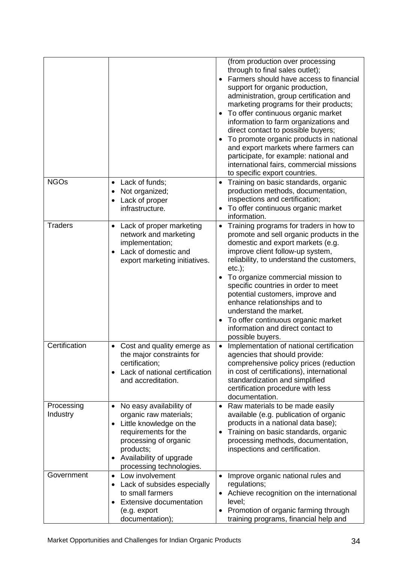| Lack of funds;<br>Not organized;<br>Lack of proper<br>infrastructure.                                                                                                                                                                                                                                                                                                               | (from production over processing<br>through to final sales outlet);<br>Farmers should have access to financial<br>support for organic production,<br>administration, group certification and<br>marketing programs for their products;<br>To offer continuous organic market<br>information to farm organizations and<br>direct contact to possible buyers;<br>To promote organic products in national<br>and export markets where farmers can<br>participate, for example: national and<br>international fairs, commercial missions<br>to specific export countries.<br>Training on basic standards, organic<br>production methods, documentation,<br>inspections and certification;<br>To offer continuous organic market<br>information.<br>Training programs for traders in how to |
|-------------------------------------------------------------------------------------------------------------------------------------------------------------------------------------------------------------------------------------------------------------------------------------------------------------------------------------------------------------------------------------|----------------------------------------------------------------------------------------------------------------------------------------------------------------------------------------------------------------------------------------------------------------------------------------------------------------------------------------------------------------------------------------------------------------------------------------------------------------------------------------------------------------------------------------------------------------------------------------------------------------------------------------------------------------------------------------------------------------------------------------------------------------------------------------|
| network and marketing<br>implementation;<br>Lack of domestic and<br>export marketing initiatives.                                                                                                                                                                                                                                                                                   | promote and sell organic products in the<br>domestic and export markets (e.g.<br>improve client follow-up system,<br>reliability, to understand the customers,<br>$etc.$ ;<br>To organize commercial mission to<br>specific countries in order to meet<br>potential customers, improve and<br>enhance relationships and to<br>understand the market.<br>To offer continuous organic market<br>information and direct contact to<br>possible buyers.                                                                                                                                                                                                                                                                                                                                    |
| Cost and quality emerge as<br>the major constraints for<br>certification;<br>Lack of national certification<br>and accreditation.                                                                                                                                                                                                                                                   | Implementation of national certification<br>agencies that should provide:<br>comprehensive policy prices (reduction<br>in cost of certifications), international<br>standardization and simplified<br>certification procedure with less<br>documentation.                                                                                                                                                                                                                                                                                                                                                                                                                                                                                                                              |
| No easy availability of<br>organic raw materials;<br>Little knowledge on the<br>$\bullet$<br>requirements for the<br>processing of organic<br>products;<br>Availability of upgrade<br>processing technologies.<br>Low involvement<br>$\bullet$<br>Lack of subsides especially<br>$\bullet$<br>to small farmers<br><b>Extensive documentation</b><br>(e.g. export<br>documentation); | Raw materials to be made easily<br>available (e.g. publication of organic<br>products in a national data base);<br>Training on basic standards, organic<br>processing methods, documentation,<br>inspections and certification.<br>Improve organic national rules and<br>regulations;<br>Achieve recognition on the international<br>level;<br>Promotion of organic farming through<br>training programs, financial help and                                                                                                                                                                                                                                                                                                                                                           |
|                                                                                                                                                                                                                                                                                                                                                                                     | Lack of proper marketing                                                                                                                                                                                                                                                                                                                                                                                                                                                                                                                                                                                                                                                                                                                                                               |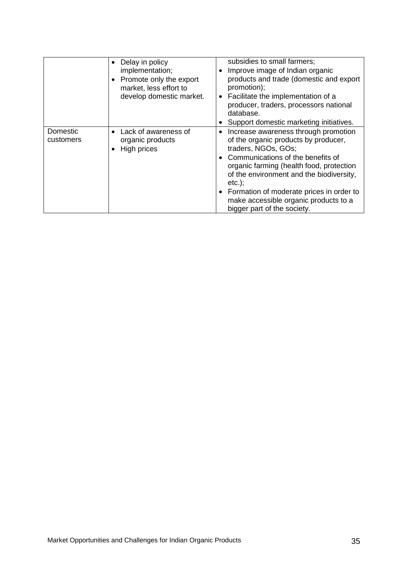|                       | Delay in policy<br>implementation;<br>Promote only the export<br>market, less effort to<br>develop domestic market. | subsidies to small farmers;<br>Improve image of Indian organic<br>$\bullet$<br>products and trade (domestic and export<br>promotion);<br>Facilitate the implementation of a<br>$\bullet$<br>producer, traders, processors national<br>database.<br>Support domestic marketing initiatives.                                                                                        |
|-----------------------|---------------------------------------------------------------------------------------------------------------------|-----------------------------------------------------------------------------------------------------------------------------------------------------------------------------------------------------------------------------------------------------------------------------------------------------------------------------------------------------------------------------------|
| Domestic<br>customers | Lack of awareness of<br>$\bullet$<br>organic products<br>High prices                                                | Increase awareness through promotion<br>$\bullet$<br>of the organic products by producer,<br>traders, NGOs, GOs;<br>• Communications of the benefits of<br>organic farming (health food, protection<br>of the environment and the biodiversity,<br>$etc.$ ;<br>• Formation of moderate prices in order to<br>make accessible organic products to a<br>bigger part of the society. |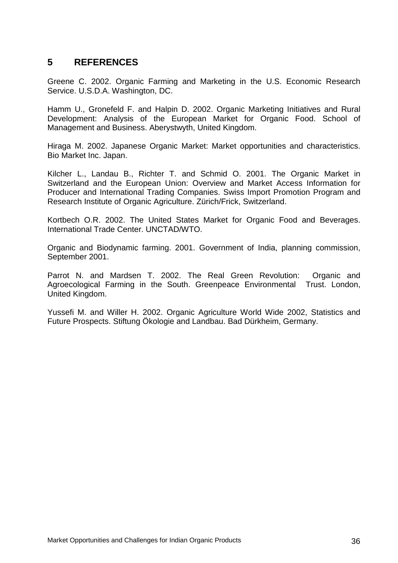### **5 REFERENCES**

Greene C. 2002. Organic Farming and Marketing in the U.S. Economic Research Service. U.S.D.A. Washington, DC.

Hamm U., Gronefeld F. and Halpin D. 2002. Organic Marketing Initiatives and Rural Development: Analysis of the European Market for Organic Food. School of Management and Business. Aberystwyth, United Kingdom.

Hiraga M. 2002. Japanese Organic Market: Market opportunities and characteristics. Bio Market Inc. Japan.

Kilcher L., Landau B., Richter T. and Schmid O. 2001. The Organic Market in Switzerland and the European Union: Overview and Market Access Information for Producer and International Trading Companies. Swiss Import Promotion Program and Research Institute of Organic Agriculture. Zürich/Frick, Switzerland.

Kortbech O.R. 2002. The United States Market for Organic Food and Beverages. International Trade Center. UNCTAD/WTO.

Organic and Biodynamic farming. 2001. Government of India, planning commission, September 2001.

Parrot N. and Mardsen T. 2002. The Real Green Revolution: Organic and Agroecological Farming in the South. Greenpeace Environmental Trust. London, United Kingdom.

Yussefi M. and Willer H. 2002. Organic Agriculture World Wide 2002, Statistics and Future Prospects. Stiftung Ökologie and Landbau. Bad Dürkheim, Germany.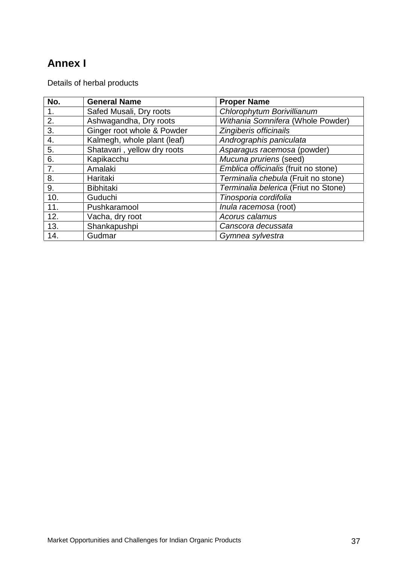# **Annex I**

Details of herbal products

| No. | <b>General Name</b>         | <b>Proper Name</b>                   |
|-----|-----------------------------|--------------------------------------|
| 1.  | Safed Musali, Dry roots     | Chlorophytum Borivillianum           |
| 2.  | Ashwagandha, Dry roots      | Withania Somnifera (Whole Powder)    |
| 3.  | Ginger root whole & Powder  | Zingiberis officinails               |
| 4.  | Kalmegh, whole plant (leaf) | Andrographis paniculata              |
| 5.  | Shatavari, yellow dry roots | Asparagus racemosa (powder)          |
| 6.  | Kapikacchu                  | Mucuna pruriens (seed)               |
| 7.  | Amalaki                     | Emblica officinalis (fruit no stone) |
| 8.  | Haritaki                    | Terminalia chebula (Fruit no stone)  |
| 9.  | <b>Bibhitaki</b>            | Terminalia belerica (Friut no Stone) |
| 10. | Guduchi                     | Tinosporia cordifolia                |
| 11. | Pushkaramool                | Inula racemosa (root)                |
| 12. | Vacha, dry root             | Acorus calamus                       |
| 13. | Shankapushpi                | Canscora decussata                   |
| 14. | Gudmar                      | Gymnea sylvestra                     |